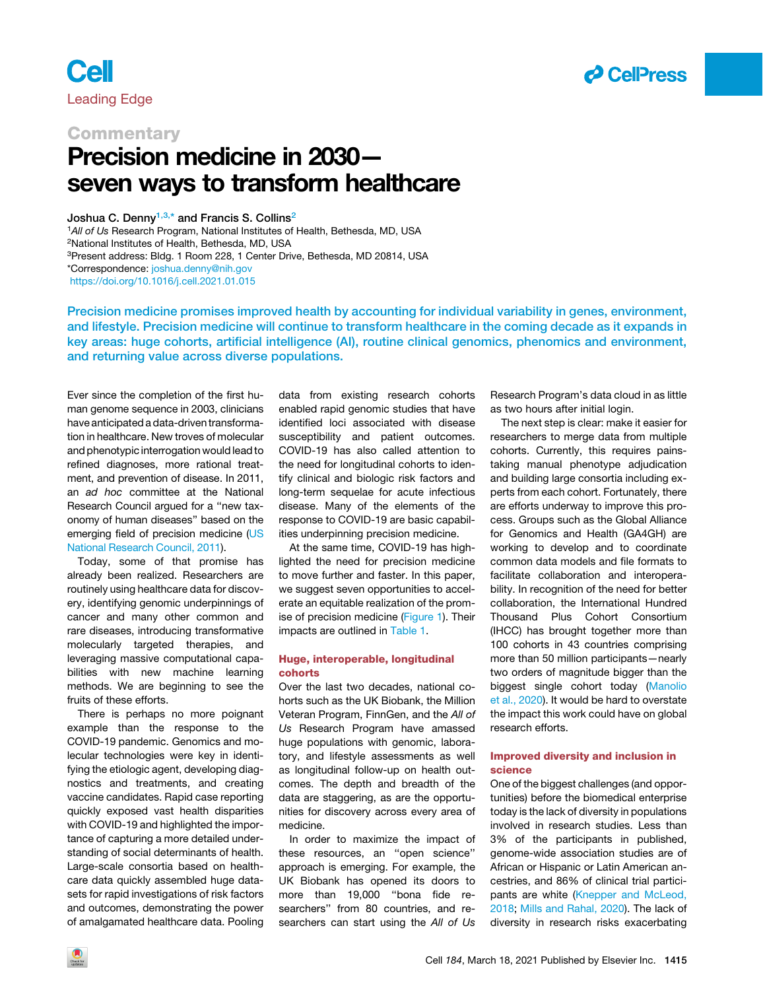

## **Cell** Leading Edge

### **Commentary**

# Precision medicine in 2030 seven ways to transform healthcare

Joshua C. Denny<sup>[1,](#page-0-0)[3,](#page-0-1)[\\*](#page-0-2)</sup> and Francis S. Collins<sup>[2](#page-0-3)</sup>

<span id="page-0-3"></span><span id="page-0-1"></span><span id="page-0-0"></span><sup>1</sup>*All of Us* Research Program, National Institutes of Health, Bethesda, MD, USA 2National Institutes of Health, Bethesda, MD, USA 3Present address: Bldg. 1 Room 228, 1 Center Drive, Bethesda, MD 20814, USA \*Correspondence: [joshua.denny@nih.gov](mailto:joshua.denny@nih.gov) <https://doi.org/10.1016/j.cell.2021.01.015>

<span id="page-0-2"></span>Precision medicine promises improved health by accounting for individual variability in genes, environment,

and lifestyle. Precision medicine will continue to transform healthcare in the coming decade as it expands in key areas: huge cohorts, artificial intelligence (AI), routine clinical genomics, phenomics and environment, and returning value across diverse populations.

Ever since the completion of the first human genome sequence in 2003, clinicians have anticipated a data-driven transformation in healthcare. New troves of molecular and phenotypic interrogation would lead to refined diagnoses, more rational treatment, and prevention of disease. In 2011, an *ad hoc* committee at the National Research Council argued for a ''new taxonomy of human diseases'' based on the emerging field of precision medicine [\(US](#page-4-0) [National Research Council, 2011\)](#page-4-0).

Today, some of that promise has already been realized. Researchers are routinely using healthcare data for discovery, identifying genomic underpinnings of cancer and many other common and rare diseases, introducing transformative molecularly targeted therapies, and leveraging massive computational capabilities with new machine learning methods. We are beginning to see the fruits of these efforts.

There is perhaps no more poignant example than the response to the COVID-19 pandemic. Genomics and molecular technologies were key in identifying the etiologic agent, developing diagnostics and treatments, and creating vaccine candidates. Rapid case reporting quickly exposed vast health disparities with COVID-19 and highlighted the importance of capturing a more detailed understanding of social determinants of health. Large-scale consortia based on healthcare data quickly assembled huge datasets for rapid investigations of risk factors and outcomes, demonstrating the power of amalgamated healthcare data. Pooling

data from existing research cohorts enabled rapid genomic studies that have identified loci associated with disease susceptibility and patient outcomes. COVID-19 has also called attention to the need for longitudinal cohorts to identify clinical and biologic risk factors and long-term sequelae for acute infectious disease. Many of the elements of the response to COVID-19 are basic capabilities underpinning precision medicine.

At the same time, COVID-19 has highlighted the need for precision medicine to move further and faster. In this paper, we suggest seven opportunities to accelerate an equitable realization of the promise of precision medicine [\(Figure 1](#page-1-0)). Their impacts are outlined in [Table 1.](#page-2-0)

#### Huge, interoperable, longitudinal cohorts

Over the last two decades, national cohorts such as the UK Biobank, the Million Veteran Program, FinnGen, and the *All of Us* Research Program have amassed huge populations with genomic, laboratory, and lifestyle assessments as well as longitudinal follow-up on health outcomes. The depth and breadth of the data are staggering, as are the opportunities for discovery across every area of medicine.

In order to maximize the impact of these resources, an ''open science'' approach is emerging. For example, the UK Biobank has opened its doors to more than 19,000 ''bona fide researchers'' from 80 countries, and researchers can start using the *All of Us*

Research Program's data cloud in as little as two hours after initial login.

The next step is clear: make it easier for researchers to merge data from multiple cohorts. Currently, this requires painstaking manual phenotype adjudication and building large consortia including experts from each cohort. Fortunately, there are efforts underway to improve this process. Groups such as the Global Alliance for Genomics and Health (GA4GH) are working to develop and to coordinate common data models and file formats to facilitate collaboration and interoperability. In recognition of the need for better collaboration, the International Hundred Thousand Plus Cohort Consortium (IHCC) has brought together more than 100 cohorts in 43 countries comprising more than 50 million participants—nearly two orders of magnitude bigger than the biggest single cohort today [\(Manolio](#page-4-1) [et al., 2020](#page-4-1)). It would be hard to overstate the impact this work could have on global research efforts.

#### Improved diversity and inclusion in science

One of the biggest challenges (and opportunities) before the biomedical enterprise today is the lack of diversity in populations involved in research studies. Less than 3% of the participants in published, genome-wide association studies are of African or Hispanic or Latin American ancestries, and 86% of clinical trial participants are white [\(Knepper and McLeod,](#page-4-2) [2018;](#page-4-2) [Mills and Rahal, 2020\)](#page-4-3). The lack of diversity in research risks exacerbating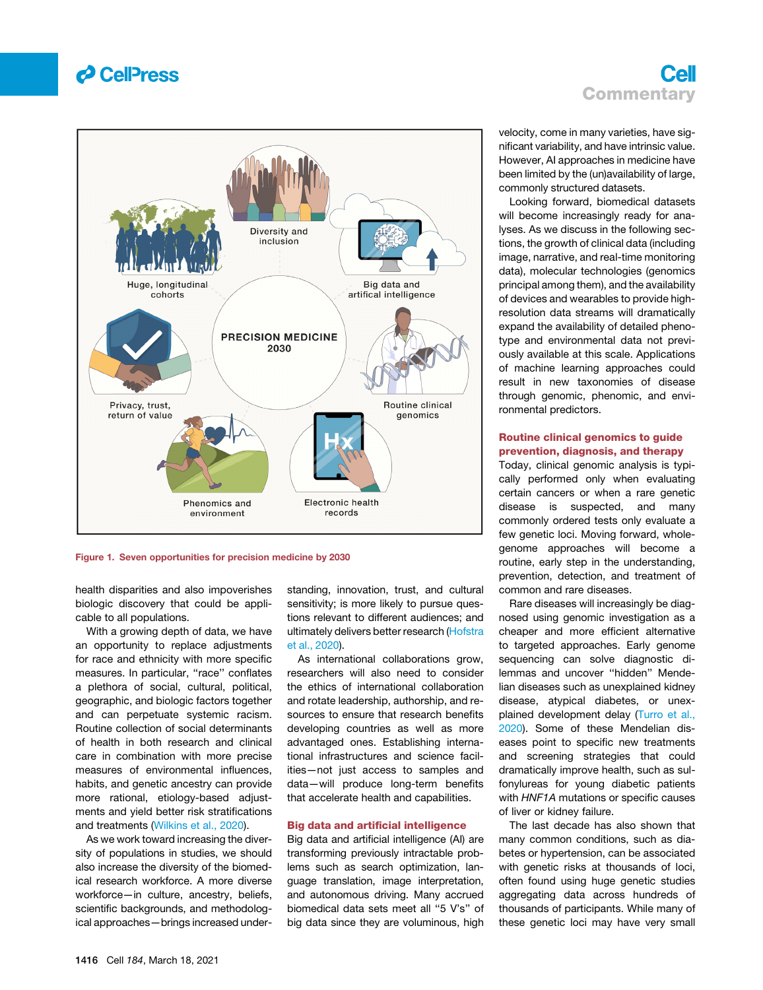

### Cell **Commentary**

<span id="page-1-0"></span>

Figure 1. Seven opportunities for precision medicine by 2030

health disparities and also impoverishes biologic discovery that could be applicable to all populations.

With a growing depth of data, we have an opportunity to replace adjustments for race and ethnicity with more specific measures. In particular, ''race'' conflates a plethora of social, cultural, political, geographic, and biologic factors together and can perpetuate systemic racism. Routine collection of social determinants of health in both research and clinical care in combination with more precise measures of environmental influences, habits, and genetic ancestry can provide more rational, etiology-based adjustments and yield better risk stratifications and treatments ([Wilkins et al., 2020\)](#page-4-4).

As we work toward increasing the diversity of populations in studies, we should also increase the diversity of the biomedical research workforce. A more diverse workforce—in culture, ancestry, beliefs, scientific backgrounds, and methodological approaches—brings increased understanding, innovation, trust, and cultural sensitivity; is more likely to pursue questions relevant to different audiences; and ultimately delivers better research [\(Hofstra](#page-4-5) [et al., 2020](#page-4-5)).

As international collaborations grow, researchers will also need to consider the ethics of international collaboration and rotate leadership, authorship, and resources to ensure that research benefits developing countries as well as more advantaged ones. Establishing international infrastructures and science facilities—not just access to samples and data—will produce long-term benefits that accelerate health and capabilities.

#### Big data and artificial intelligence

Big data and artificial intelligence (AI) are transforming previously intractable problems such as search optimization, language translation, image interpretation, and autonomous driving. Many accrued biomedical data sets meet all ''5 V's'' of big data since they are voluminous, high

velocity, come in many varieties, have significant variability, and have intrinsic value. However, AI approaches in medicine have been limited by the (un)availability of large, commonly structured datasets.

Looking forward, biomedical datasets will become increasingly ready for analyses. As we discuss in the following sections, the growth of clinical data (including image, narrative, and real-time monitoring data), molecular technologies (genomics principal among them), and the availability of devices and wearables to provide highresolution data streams will dramatically expand the availability of detailed phenotype and environmental data not previously available at this scale. Applications of machine learning approaches could result in new taxonomies of disease through genomic, phenomic, and environmental predictors.

#### Routine clinical genomics to guide prevention, diagnosis, and therapy

Today, clinical genomic analysis is typically performed only when evaluating certain cancers or when a rare genetic disease is suspected, and many commonly ordered tests only evaluate a few genetic loci. Moving forward, wholegenome approaches will become a routine, early step in the understanding, prevention, detection, and treatment of common and rare diseases.

Rare diseases will increasingly be diagnosed using genomic investigation as a cheaper and more efficient alternative to targeted approaches. Early genome sequencing can solve diagnostic dilemmas and uncover ''hidden'' Mendelian diseases such as unexplained kidney disease, atypical diabetes, or unexplained development delay [\(Turro et al.,](#page-4-6) [2020](#page-4-6)). Some of these Mendelian diseases point to specific new treatments and screening strategies that could dramatically improve health, such as sulfonylureas for young diabetic patients with *HNF1A* mutations or specific causes of liver or kidney failure.

The last decade has also shown that many common conditions, such as diabetes or hypertension, can be associated with genetic risks at thousands of loci, often found using huge genetic studies aggregating data across hundreds of thousands of participants. While many of these genetic loci may have very small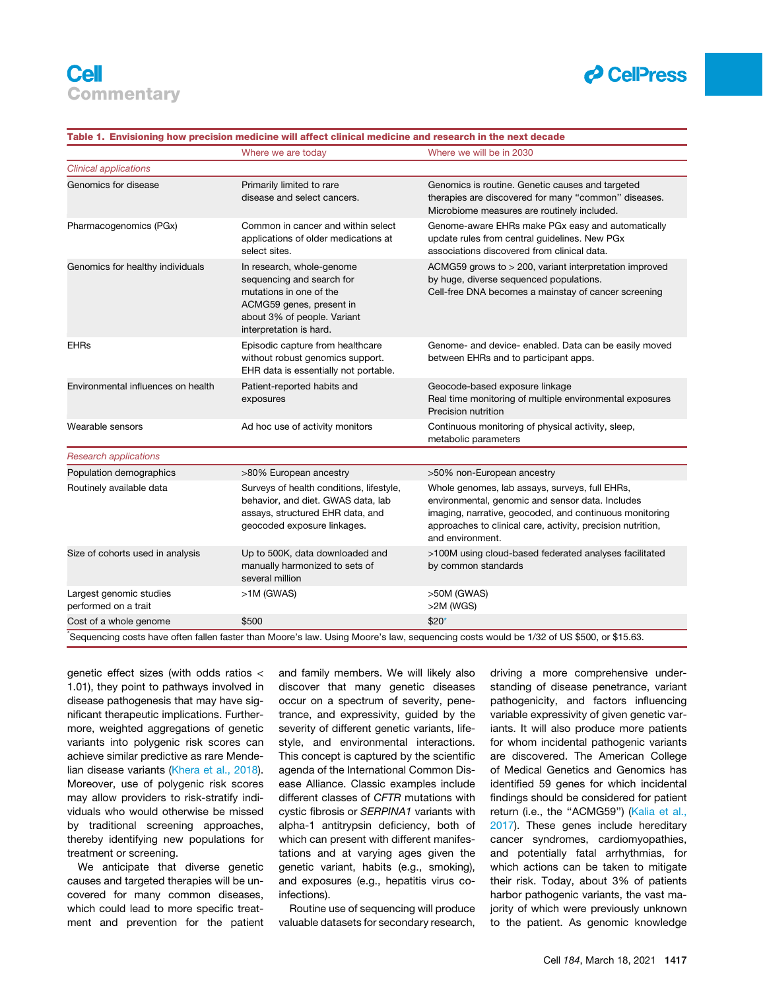

<span id="page-2-0"></span>

| Table 1. Envisioning how precision medicine will affect clinical medicine and research in the next decade |                                                                                                                                                                         |                                                                                                                                                                                                                                                  |
|-----------------------------------------------------------------------------------------------------------|-------------------------------------------------------------------------------------------------------------------------------------------------------------------------|--------------------------------------------------------------------------------------------------------------------------------------------------------------------------------------------------------------------------------------------------|
|                                                                                                           | Where we are today                                                                                                                                                      | Where we will be in 2030                                                                                                                                                                                                                         |
| <b>Clinical applications</b>                                                                              |                                                                                                                                                                         |                                                                                                                                                                                                                                                  |
| Genomics for disease                                                                                      | Primarily limited to rare<br>disease and select cancers.                                                                                                                | Genomics is routine. Genetic causes and targeted<br>therapies are discovered for many "common" diseases.<br>Microbiome measures are routinely included.                                                                                          |
| Pharmacogenomics (PGx)                                                                                    | Common in cancer and within select<br>applications of older medications at<br>select sites.                                                                             | Genome-aware EHRs make PGx easy and automatically<br>update rules from central guidelines. New PGx<br>associations discovered from clinical data.                                                                                                |
| Genomics for healthy individuals                                                                          | In research, whole-genome<br>sequencing and search for<br>mutations in one of the<br>ACMG59 genes, present in<br>about 3% of people. Variant<br>interpretation is hard. | ACMG59 grows to > 200, variant interpretation improved<br>by huge, diverse sequenced populations.<br>Cell-free DNA becomes a mainstay of cancer screening                                                                                        |
| <b>EHRs</b>                                                                                               | Episodic capture from healthcare<br>without robust genomics support.<br>EHR data is essentially not portable.                                                           | Genome- and device- enabled. Data can be easily moved<br>between EHRs and to participant apps.                                                                                                                                                   |
| Environmental influences on health                                                                        | Patient-reported habits and<br>exposures                                                                                                                                | Geocode-based exposure linkage<br>Real time monitoring of multiple environmental exposures<br>Precision nutrition                                                                                                                                |
| Wearable sensors                                                                                          | Ad hoc use of activity monitors                                                                                                                                         | Continuous monitoring of physical activity, sleep,<br>metabolic parameters                                                                                                                                                                       |
| <b>Research applications</b>                                                                              |                                                                                                                                                                         |                                                                                                                                                                                                                                                  |
| Population demographics                                                                                   | >80% European ancestry                                                                                                                                                  | >50% non-European ancestry                                                                                                                                                                                                                       |
| Routinely available data                                                                                  | Surveys of health conditions, lifestyle,<br>behavior, and diet. GWAS data, lab<br>assays, structured EHR data, and<br>geocoded exposure linkages.                       | Whole genomes, lab assays, surveys, full EHRs,<br>environmental, genomic and sensor data. Includes<br>imaging, narrative, geocoded, and continuous monitoring<br>approaches to clinical care, activity, precision nutrition,<br>and environment. |
| Size of cohorts used in analysis                                                                          | Up to 500K, data downloaded and<br>manually harmonized to sets of<br>several million                                                                                    | >100M using cloud-based federated analyses facilitated<br>by common standards                                                                                                                                                                    |
| Largest genomic studies<br>performed on a trait                                                           | $>1M$ (GWAS)                                                                                                                                                            | >50M (GWAS)<br>$>2M$ (WGS)                                                                                                                                                                                                                       |
| Cost of a whole genome                                                                                    | \$500                                                                                                                                                                   | $$20*$                                                                                                                                                                                                                                           |

1.01), they point to pathways involved in disease pathogenesis that may have significant therapeutic implications. Furthermore, weighted aggregations of genetic variants into polygenic risk scores can achieve similar predictive as rare Mendelian disease variants ([Khera et al., 2018\)](#page-4-7). Moreover, use of polygenic risk scores may allow providers to risk-stratify individuals who would otherwise be missed by traditional screening approaches, thereby identifying new populations for treatment or screening.

<span id="page-2-1"></span>genetic effect sizes (with odds ratios <

We anticipate that diverse genetic causes and targeted therapies will be uncovered for many common diseases, which could lead to more specific treatment and prevention for the patient and family members. We will likely also discover that many genetic diseases occur on a spectrum of severity, penetrance, and expressivity, guided by the severity of different genetic variants, lifestyle, and environmental interactions. This concept is captured by the scientific agenda of the International Common Disease Alliance. Classic examples include different classes of *CFTR* mutations with cystic fibrosis or *SERPINA1* variants with alpha-1 antitrypsin deficiency, both of which can present with different manifestations and at varying ages given the genetic variant, habits (e.g., smoking), and exposures (e.g., hepatitis virus coinfections).

Routine use of sequencing will produce valuable datasets for secondary research,

driving a more comprehensive understanding of disease penetrance, variant pathogenicity, and factors influencing variable expressivity of given genetic variants. It will also produce more patients for whom incidental pathogenic variants are discovered. The American College of Medical Genetics and Genomics has identified 59 genes for which incidental findings should be considered for patient return (i.e., the "ACMG59") [\(Kalia et al.,](#page-4-8) [2017\)](#page-4-8). These genes include hereditary cancer syndromes, cardiomyopathies, and potentially fatal arrhythmias, for which actions can be taken to mitigate their risk. Today, about 3% of patients harbor pathogenic variants, the vast majority of which were previously unknown to the patient. As genomic knowledge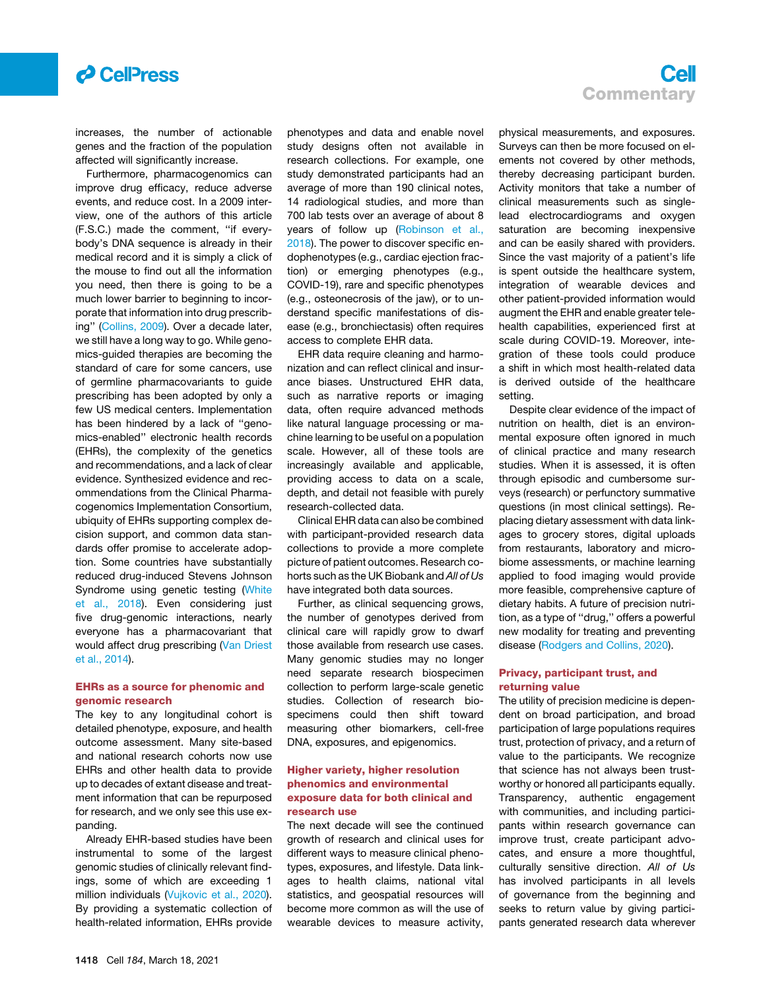

increases, the number of actionable genes and the fraction of the population affected will significantly increase.

Furthermore, pharmacogenomics can improve drug efficacy, reduce adverse events, and reduce cost. In a 2009 interview, one of the authors of this article (F.S.C.) made the comment, ''if everybody's DNA sequence is already in their medical record and it is simply a click of the mouse to find out all the information you need, then there is going to be a much lower barrier to beginning to incorporate that information into drug prescribing'' [\(Collins, 2009\)](#page-4-9). Over a decade later, we still have a long way to go. While genomics-guided therapies are becoming the standard of care for some cancers, use of germline pharmacovariants to guide prescribing has been adopted by only a few US medical centers. Implementation has been hindered by a lack of ''genomics-enabled'' electronic health records (EHRs), the complexity of the genetics and recommendations, and a lack of clear evidence. Synthesized evidence and recommendations from the Clinical Pharmacogenomics Implementation Consortium, ubiquity of EHRs supporting complex decision support, and common data standards offer promise to accelerate adoption. Some countries have substantially reduced drug-induced Stevens Johnson Syndrome using genetic testing ([White](#page-4-10) [et al., 2018\)](#page-4-10). Even considering just five drug-genomic interactions, nearly everyone has a pharmacovariant that would affect drug prescribing [\(Van Driest](#page-4-11) [et al., 2014\)](#page-4-11).

#### EHRs as a source for phenomic and genomic research

The key to any longitudinal cohort is detailed phenotype, exposure, and health outcome assessment. Many site-based and national research cohorts now use EHRs and other health data to provide up to decades of extant disease and treatment information that can be repurposed for research, and we only see this use expanding.

Already EHR-based studies have been instrumental to some of the largest genomic studies of clinically relevant findings, some of which are exceeding 1 million individuals [\(Vujkovic et al., 2020\)](#page-4-12). By providing a systematic collection of health-related information, EHRs provide

phenotypes and data and enable novel study designs often not available in research collections. For example, one study demonstrated participants had an average of more than 190 clinical notes, 14 radiological studies, and more than 700 lab tests over an average of about 8 years of follow up [\(Robinson et al.,](#page-4-13) [2018\)](#page-4-13). The power to discover specific endophenotypes (e.g., cardiac ejection fraction) or emerging phenotypes (e.g., COVID-19), rare and specific phenotypes (e.g., osteonecrosis of the jaw), or to understand specific manifestations of disease (e.g., bronchiectasis) often requires access to complete EHR data.

EHR data require cleaning and harmonization and can reflect clinical and insurance biases. Unstructured EHR data, such as narrative reports or imaging data, often require advanced methods like natural language processing or machine learning to be useful on a population scale. However, all of these tools are increasingly available and applicable, providing access to data on a scale, depth, and detail not feasible with purely research-collected data.

Clinical EHR data can also be combined with participant-provided research data collections to provide a more complete picture of patient outcomes. Research cohorts such as the UK Biobank and *All of Us* have integrated both data sources.

Further, as clinical sequencing grows, the number of genotypes derived from clinical care will rapidly grow to dwarf those available from research use cases. Many genomic studies may no longer need separate research biospecimen collection to perform large-scale genetic studies. Collection of research biospecimens could then shift toward measuring other biomarkers, cell-free DNA, exposures, and epigenomics.

#### Higher variety, higher resolution phenomics and environmental exposure data for both clinical and research use

The next decade will see the continued growth of research and clinical uses for different ways to measure clinical phenotypes, exposures, and lifestyle. Data linkages to health claims, national vital statistics, and geospatial resources will become more common as will the use of wearable devices to measure activity,

### Cell **Commentary**

physical measurements, and exposures. Surveys can then be more focused on elements not covered by other methods, thereby decreasing participant burden. Activity monitors that take a number of clinical measurements such as singlelead electrocardiograms and oxygen saturation are becoming inexpensive and can be easily shared with providers. Since the vast majority of a patient's life is spent outside the healthcare system, integration of wearable devices and other patient-provided information would augment the EHR and enable greater telehealth capabilities, experienced first at scale during COVID-19. Moreover, integration of these tools could produce a shift in which most health-related data is derived outside of the healthcare setting.

Despite clear evidence of the impact of nutrition on health, diet is an environmental exposure often ignored in much of clinical practice and many research studies. When it is assessed, it is often through episodic and cumbersome surveys (research) or perfunctory summative questions (in most clinical settings). Replacing dietary assessment with data linkages to grocery stores, digital uploads from restaurants, laboratory and microbiome assessments, or machine learning applied to food imaging would provide more feasible, comprehensive capture of dietary habits. A future of precision nutrition, as a type of ''drug,'' offers a powerful new modality for treating and preventing disease [\(Rodgers and Collins, 2020](#page-4-14)).

#### Privacy, participant trust, and returning value

The utility of precision medicine is dependent on broad participation, and broad participation of large populations requires trust, protection of privacy, and a return of value to the participants. We recognize that science has not always been trustworthy or honored all participants equally. Transparency, authentic engagement with communities, and including participants within research governance can improve trust, create participant advocates, and ensure a more thoughtful, culturally sensitive direction. *All of Us* has involved participants in all levels of governance from the beginning and seeks to return value by giving participants generated research data wherever